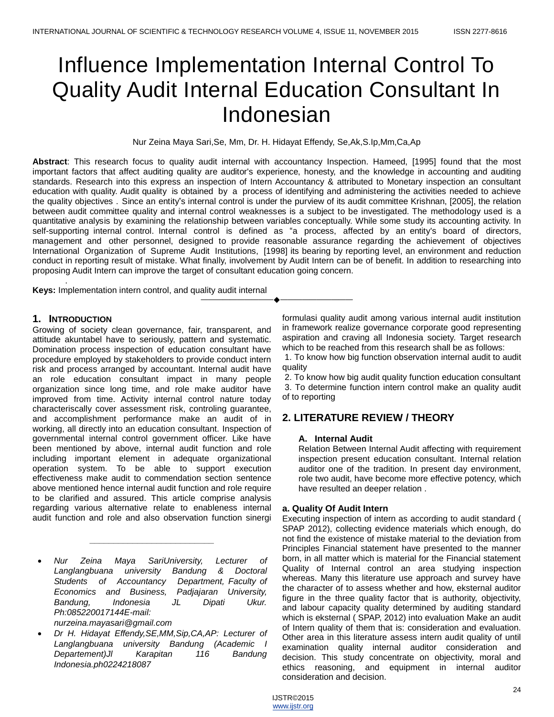# Influence Implementation Internal Control To Quality Audit Internal Education Consultant In Indonesian

Nur Zeina Maya Sari,Se, Mm, Dr. H. Hidayat Effendy, Se,Ak,S.Ip,Mm,Ca,Ap

**Abstract**: This research focus to quality audit internal with accountancy Inspection. Hameed, [1995] found that the most important factors that affect auditing quality are auditor's experience, honesty, and the knowledge in accounting and auditing standards. Research into this express an inspection of Intern Accountancy & attributed to Monetary inspection an consultant education with quality. Audit quality is obtained by a process of identifying and administering the activities needed to achieve the quality objectives . Since an entity"s internal control is under the purview of its audit committee Krishnan, [2005], the relation between audit committee quality and internal control weaknesses is a subject to be investigated. The methodology used is a quantitative analysis by examining the relationship between variables conceptually. While some study its accounting activity. In self-supporting internal control. Internal control is defined as "a process, affected by an entity's board of directors, management and other personnel, designed to provide reasonable assurance regarding the achievement of objectives International Organization of Supreme Audit Institutions, [1998] its bearing by reporting level, an environment and reduction conduct in reporting result of mistake. What finally, involvement by Audit Intern can be of benefit. In addition to researching into proposing Audit Intern can improve the target of consultant education going concern.

————————————————————

**Keys:** Implementation intern control, and quality audit internal

## **1. INTRODUCTION**

.

Growing of society clean governance, fair, transparent, and attitude akuntabel have to seriously, pattern and systematic. Domination process inspection of education consultant have procedure employed by stakeholders to provide conduct intern risk and process arranged by accountant. Internal audit have an role education consultant impact in many people organization since long time, and role make auditor have improved from time. Activity internal control nature today characteriscally cover assessment risk, controling guarantee, and accomplishment performance make an audit of in working, all directly into an education consultant. Inspection of governmental internal control government officer. Like have been mentioned by above, internal audit function and role including important element in adequate organizational operation system. To be able to support execution effectiveness make audit to commendation section sentence above mentioned hence internal audit function and role require to be clarified and assured. This article comprise analysis regarding various alternative relate to enableness internal audit function and role and also observation function sinergi

 *Nur Zeina Maya SariUniversity, Lecturer of Langlangbuana university Bandung & Doctoral Students of Accountancy Department, Faculty of Economics and Business, Padjajaran University, Bandung, Indonesia JL Dipati Ukur. Ph:085220017144E-mail: nurzeina.mayasari@gmail.com*

*\_\_\_\_\_\_\_\_\_\_\_\_\_\_\_\_\_\_\_\_\_\_\_\_\_\_*

 *Dr H. Hidayat Effendy,SE,MM,Sip,CA,AP: Lecturer of Langlangbuana university Bandung (Academic I Departement)Jl Karapitan 116 Bandung Indonesia.ph0224218087*

formulasi quality audit among various internal audit institution in framework realize governance corporate good representing aspiration and craving all Indonesia society. Target research which to be reached from this research shall be as follows:

1. To know how big function observation internal audit to audit quality

2. To know how big audit quality function education consultant 3. To determine function intern control make an quality audit of to reporting

# **2. LITERATURE REVIEW / THEORY**

## **A. Internal Audit**

Relation Between Internal Audit affecting with requirement inspection present education consultant. Internal relation auditor one of the tradition. In present day environment, role two audit, have become more effective potency, which have resulted an deeper relation .

## **a. Quality Of Audit Intern**

Executing inspection of intern as according to audit standard ( SPAP 2012), collecting evidence materials which enough, do not find the existence of mistake material to the deviation from Principles Financial statement have presented to the manner born, in all matter which is material for the Financial statement Quality of Internal control an area studying inspection whereas. Many this literature use approach and survey have the character of to assess whether and how, eksternal auditor figure in the three quality factor that is authority, objectivity, and labour capacity quality determined by auditing standard which is eksternal ( SPAP, 2012) into evaluation Make an audit of Intern quality of them that is: consideration and evaluation. Other area in this literature assess intern audit quality of until examination quality internal auditor consideration and decision. This study concentrate on objectivity, moral and ethics reasoning, and equipment in internal auditor consideration and decision.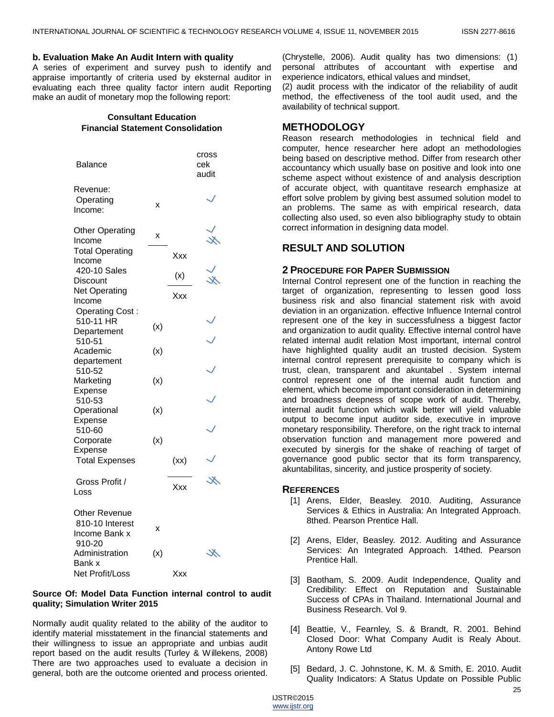#### **b. Evaluation Make An Audit Intern with quality**

A series of experiment and survey push to identify and appraise importantly of criteria used by eksternal auditor in evaluating each three quality factor intern audit Reporting make an audit of monetary mop the following report:

## **Consultant Education Financial Statement Consolidation**

| <b>Balance</b>                                              |     |      | cross<br>cek<br>audit |  |
|-------------------------------------------------------------|-----|------|-----------------------|--|
| Revenue:<br>Operating<br>Income:                            | X   |      |                       |  |
| <b>Other Operating</b><br>Income                            | X   |      | ⋇                     |  |
| <b>Total Operating</b><br>Income                            |     | Xxx  |                       |  |
| 420-10 Sales<br>Discount                                    |     | (x)  | ×.                    |  |
| <b>Net Operating</b><br>Income                              |     | Xxx  |                       |  |
| <b>Operating Cost:</b><br>510-11 HR<br>Departement          | (x) |      |                       |  |
| 510-51<br>Academic<br>departement<br>510-52                 | (x) |      |                       |  |
| Marketing<br>Expense<br>510-53                              | (x) |      |                       |  |
| Operational<br>Expense                                      | (x) |      |                       |  |
| 510-60<br>Corporate<br>Expense                              | (x) |      |                       |  |
| <b>Total Expenses</b>                                       |     | (xx) |                       |  |
| Gross Profit /<br>Loss                                      |     | Xxx  | Ж                     |  |
| Other Revenue<br>810-10 Interest<br>Income Bank x<br>910-20 | X   |      |                       |  |
| Administration<br>Bank x                                    | (x) |      | ℋ                     |  |
| Net Profit/Loss                                             |     | Xxx  |                       |  |

## **Source Of: Model Data Function internal control to audit quality; Simulation Writer 2015**

Normally audit quality related to the ability of the auditor to identify material misstatement in the financial statements and their willingness to issue an appropriate and unbias audit report based on the audit results (Turley & Willekens, 2008) There are two approaches used to evaluate a decision in general, both are the outcome oriented and process oriented.

(Chrystelle, 2006). Audit quality has two dimensions: (1) personal attributes of accountant with expertise and experience indicators, ethical values and mindset,

(2) audit process with the indicator of the reliability of audit method, the effectiveness of the tool audit used, and the availability of technical support.

# **METHODOLOGY**

Reason research methodologies in technical field and computer, hence researcher here adopt an methodologies being based on descriptive method. Differ from research other accountancy which usually base on positive and look into one scheme aspect without existence of and analysis description of accurate object, with quantitave research emphasize at effort solve problem by giving best assumed solution model to an problems. The same as with empirical research, data collecting also used, so even also bibliography study to obtain correct information in designing data model.

# **RESULT AND SOLUTION**

## **2 PROCEDURE FOR PAPER SUBMISSION**

Internal Control represent one of the function in reaching the target of organization, representing to lessen good loss business risk and also financial statement risk with avoid deviation in an organization. effective Influence Internal control represent one of the key in successfulness a biggest factor and organization to audit quality. Effective internal control have related internal audit relation Most important, internal control have highlighted quality audit an trusted decision. System internal control represent prerequisite to company which is trust, clean, transparent and akuntabel . System internal control represent one of the internal audit function and element, which become important consideration in determining and broadness deepness of scope work of audit. Thereby, internal audit function which walk better will yield valuable output to become input auditor side, executive in improve monetary responsibility. Therefore, on the right track to internal observation function and management more powered and executed by sinergis for the shake of reaching of target of governance good public sector that its form transparency, akuntabilitas, sincerity, and justice prosperity of society.

## **REFERENCES**

- [1] Arens, Elder, Beasley. 2010. Auditing, Assurance Services & Ethics in Australia: An Integrated Approach. 8thed. Pearson Prentice Hall.
- [2] Arens, Elder, Beasley. 2012. Auditing and Assurance Services: An Integrated Approach. 14thed. Pearson Prentice Hall.
- [3] Baotham, S. 2009. Audit Independence, Quality and Credibility: Effect on Reputation and Sustainable Success of CPAs in Thailand. International Journal and Business Research. Vol 9.
- [4] Beattie, V., Fearnley, S. & Brandt, R. 2001. Behind Closed Door: What Company Audit is Realy About. Antony Rowe Ltd
- [5] Bedard, J. C. Johnstone, K. M. & Smith, E. 2010. Audit Quality Indicators: A Status Update on Possible Public